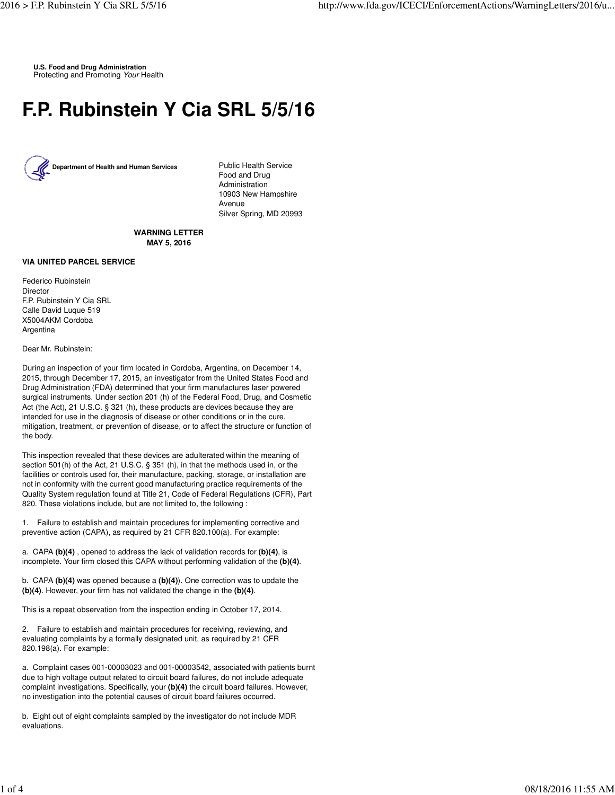**U.S. Food and Drug Administration** Protecting and Promoting Your Health

## **F.P. Rubinstein Y Cia SRL 5/5/16**



Food and Drug Administration 10903 New Hampshire Avenue Silver Spring, MD 20993

**WARNING LETTER MAY 5, 2016**

## **VIA UNITED PARCEL SERVICE**

Federico Rubinstein Director F.P. Rubinstein Y Cia SRL Calle David Luque 519 X5004AKM Cordoba Argentina

## Dear Mr. Rubinstein:

During an inspection of your firm located in Cordoba, Argentina, on December 14, 2015, through December 17, 2015, an investigator from the United States Food and Drug Administration (FDA) determined that your firm manufactures laser powered surgical instruments. Under section 201 (h) of the Federal Food, Drug, and Cosmetic Act (the Act), 21 U.S.C. § 321 (h), these products are devices because they are intended for use in the diagnosis of disease or other conditions or in the cure, mitigation, treatment, or prevention of disease, or to affect the structure or function of the body.

This inspection revealed that these devices are adulterated within the meaning of section 501(h) of the Act, 21 U.S.C. § 351 (h), in that the methods used in, or the facilities or controls used for, their manufacture, packing, storage, or installation are not in conformity with the current good manufacturing practice requirements of the Quality System regulation found at Title 21, Code of Federal Regulations (CFR), Part 820. These violations include, but are not limited to, the following :

1. Failure to establish and maintain procedures for implementing corrective and preventive action (CAPA), as required by 21 CFR 820.100(a). For example:

a. CAPA **(b)(4)** , opened to address the lack of validation records for **(b)(4)**, is incomplete. Your firm closed this CAPA without performing validation of the **(b)(4)**.

b. CAPA **(b)(4)** was opened because a **(b)(4)**). One correction was to update the **(b)(4)**. However, your firm has not validated the change in the **(b)(4)**.

This is a repeat observation from the inspection ending in October 17, 2014.

2. Failure to establish and maintain procedures for receiving, reviewing, and evaluating complaints by a formally designated unit, as required by 21 CFR 820.198(a). For example:

a. Complaint cases 001-00003023 and 001-00003542, associated with patients burnt due to high voltage output related to circuit board failures, do not include adequate complaint investigations. Specifically, your **(b)(4)** the circuit board failures. However, no investigation into the potential causes of circuit board failures occurred.

b. Eight out of eight complaints sampled by the investigator do not include MDR evaluations.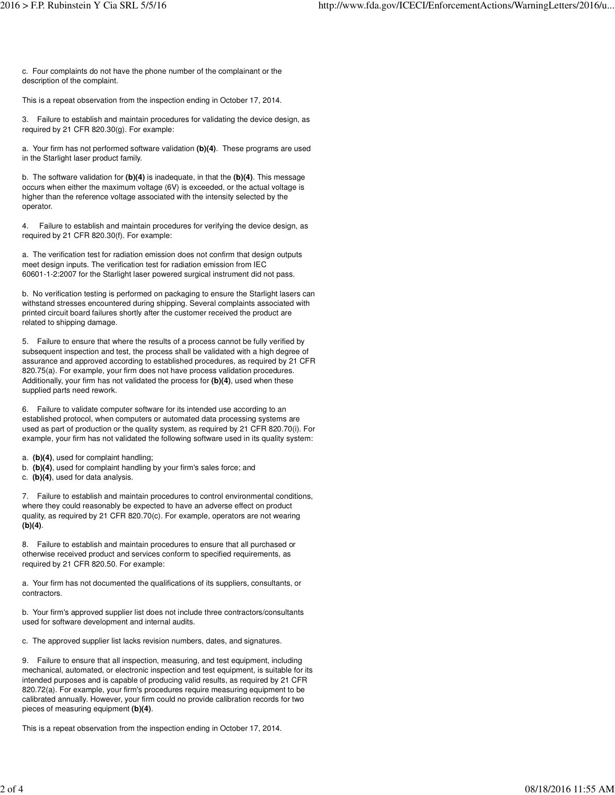c. Four complaints do not have the phone number of the complainant or the description of the complaint.

This is a repeat observation from the inspection ending in October 17, 2014.

3. Failure to establish and maintain procedures for validating the device design, as required by 21 CFR 820.30(g). For example:

a. Your firm has not performed software validation **(b)(4)**. These programs are used in the Starlight laser product family.

b. The software validation for **(b)(4)** is inadequate, in that the **(b)(4)**. This message occurs when either the maximum voltage (6V) is exceeded, or the actual voltage is higher than the reference voltage associated with the intensity selected by the operator.

4. Failure to establish and maintain procedures for verifying the device design, as required by 21 CFR 820.30(f). For example:

a. The verification test for radiation emission does not confirm that design outputs meet design inputs. The verification test for radiation emission from IEC 60601-1-2:2007 for the Starlight laser powered surgical instrument did not pass.

b. No verification testing is performed on packaging to ensure the Starlight lasers can withstand stresses encountered during shipping. Several complaints associated with printed circuit board failures shortly after the customer received the product are related to shipping damage.

5. Failure to ensure that where the results of a process cannot be fully verified by subsequent inspection and test, the process shall be validated with a high degree of assurance and approved according to established procedures, as required by 21 CFR 820.75(a). For example, your firm does not have process validation procedures. Additionally, your firm has not validated the process for **(b)(4)**, used when these supplied parts need rework.

6. Failure to validate computer software for its intended use according to an established protocol, when computers or automated data processing systems are used as part of production or the quality system, as required by 21 CFR 820.70(i). For example, your firm has not validated the following software used in its quality system:

- a. **(b)(4)**, used for complaint handling;
- b. **(b)(4)**, used for complaint handling by your firm's sales force; and
- c. **(b)(4)**, used for data analysis.

7. Failure to establish and maintain procedures to control environmental conditions, where they could reasonably be expected to have an adverse effect on product quality, as required by 21 CFR 820.70(c). For example, operators are not wearing **(b)(4)**.

8. Failure to establish and maintain procedures to ensure that all purchased or otherwise received product and services conform to specified requirements, as required by 21 CFR 820.50. For example:

a. Your firm has not documented the qualifications of its suppliers, consultants, or contractors.

b. Your firm's approved supplier list does not include three contractors/consultants used for software development and internal audits.

c. The approved supplier list lacks revision numbers, dates, and signatures.

9. Failure to ensure that all inspection, measuring, and test equipment, including mechanical, automated, or electronic inspection and test equipment, is suitable for its intended purposes and is capable of producing valid results, as required by 21 CFR 820.72(a). For example, your firm's procedures require measuring equipment to be calibrated annually. However, your firm could no provide calibration records for two pieces of measuring equipment **(b)(4)**.

This is a repeat observation from the inspection ending in October 17, 2014.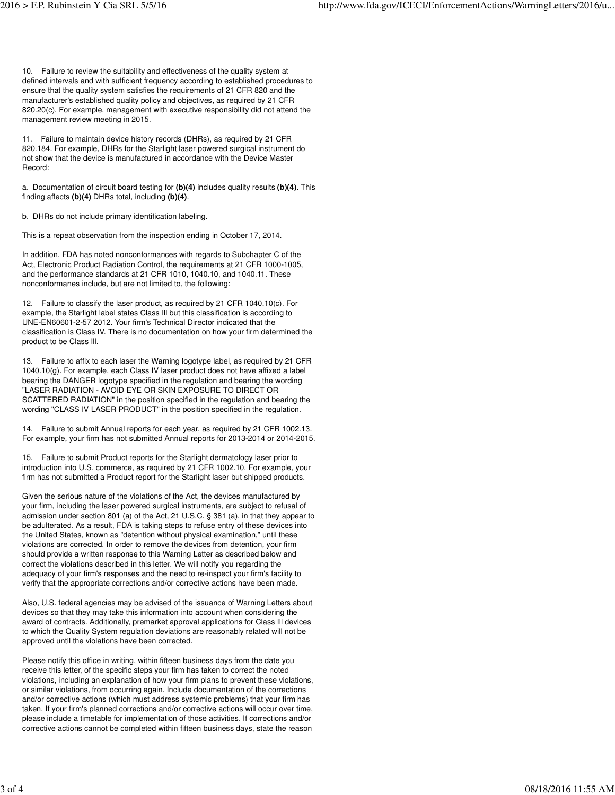10. Failure to review the suitability and effectiveness of the quality system at defined intervals and with sufficient frequency according to established procedures to ensure that the quality system satisfies the requirements of 21 CFR 820 and the manufacturer's established quality policy and objectives, as required by 21 CFR 820.20(c). For example, management with executive responsibility did not attend the management review meeting in 2015.

11. Failure to maintain device history records (DHRs), as required by 21 CFR 820.184. For example, DHRs for the Starlight laser powered surgical instrument do not show that the device is manufactured in accordance with the Device Master Record:

a. Documentation of circuit board testing for **(b)(4)** includes quality results **(b)(4)**. This finding affects **(b)(4)** DHRs total, including **(b)(4)**.

b. DHRs do not include primary identification labeling.

This is a repeat observation from the inspection ending in October 17, 2014.

In addition, FDA has noted nonconformances with regards to Subchapter C of the Act, Electronic Product Radiation Control, the requirements at 21 CFR 1000-1005, and the performance standards at 21 CFR 1010, 1040.10, and 1040.11. These nonconformanes include, but are not limited to, the following:

12. Failure to classify the laser product, as required by 21 CFR 1040.10(c). For example, the Starlight label states Class Ill but this classification is according to UNE-EN60601-2-57 2012. Your firm's Technical Director indicated that the classification is Class IV. There is no documentation on how your firm determined the product to be Class Ill.

13. Failure to affix to each laser the Warning logotype label, as required by 21 CFR 1040.10(g). For example, each Class IV laser product does not have affixed a label bearing the DANGER logotype specified in the regulation and bearing the wording "LASER RADIATION - AVOID EYE OR SKIN EXPOSURE TO DIRECT OR SCATTERED RADIATION" in the position specified in the regulation and bearing the wording "CLASS IV LASER PRODUCT" in the position specified in the regulation.

14. Failure to submit Annual reports for each year, as required by 21 CFR 1002.13. For example, your firm has not submitted Annual reports for 2013-2014 or 2014-2015.

15. Failure to submit Product reports for the Starlight dermatology laser prior to introduction into U.S. commerce, as required by 21 CFR 1002.10. For example, your firm has not submitted a Product report for the Starlight laser but shipped products.

Given the serious nature of the violations of the Act, the devices manufactured by your firm, including the laser powered surgical instruments, are subject to refusal of admission under section 801 (a) of the Act, 21 U.S.C. § 381 (a), in that they appear to be adulterated. As a result, FDA is taking steps to refuse entry of these devices into the United States, known as "detention without physical examination," until these violations are corrected. In order to remove the devices from detention, your firm should provide a written response to this Warning Letter as described below and correct the violations described in this letter. We will notify you regarding the adequacy of your firm's responses and the need to re-inspect your firm's facility to verify that the appropriate corrections and/or corrective actions have been made.

Also, U.S. federal agencies may be advised of the issuance of Warning Letters about devices so that they may take this information into account when considering the award of contracts. Additionally, premarket approval applications for Class Ill devices to which the Quality System regulation deviations are reasonably related will not be approved until the violations have been corrected.

Please notify this office in writing, within fifteen business days from the date you receive this letter, of the specific steps your firm has taken to correct the noted violations, including an explanation of how your firm plans to prevent these violations, or similar violations, from occurring again. Include documentation of the corrections and/or corrective actions (which must address systemic problems) that your firm has taken. If your firm's planned corrections and/or corrective actions will occur over time, please include a timetable for implementation of those activities. If corrections and/or corrective actions cannot be completed within fifteen business days, state the reason